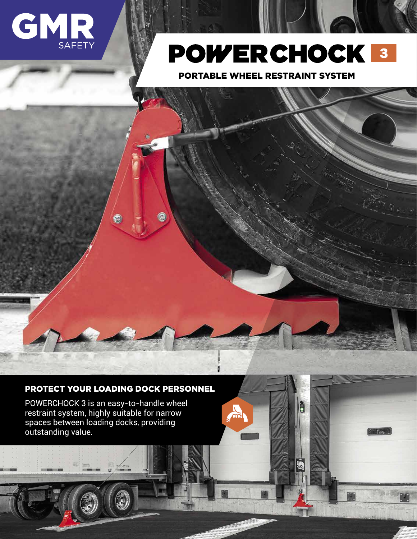

## **POWERCHOCK 3**

PORTABLE WHEEL RESTRAINT SYSTEM

**PC 9 PC 9 PC 9 PC 9 PC 9 PC 9 PC 9 PC 9 PC 9 PC 9 PC 9 PC 9 PC** 9

m

**Blogue Action International Property Action** 

**Articulé**

**de 30 secondes**

i<br>P

**Garantie de 5ans 5years warranty Coché**

 $\mathcal{C}_{\text{ext}}$ 

## PROTECT YOUR LOADING DOCK PERSONNEL

C

G

POWERCHOCK 3 is an easy-to-handle wheel restraint system, highly suitable for narrow spaces between loading docks, providing outstanding value.